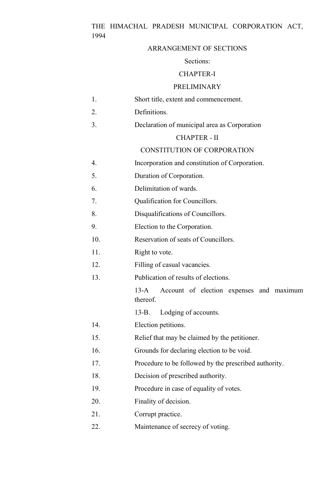# THE HIMACHAL PRADESH MUNICIPAL CORPORATION ACT, 1994

### ARRANGEMENT OF SECTIONS

#### Sections:

### CHAPTER-I

#### PRELIMINARY

- 1. Short title, extent and commencement.
- 2. Definitions.
- 3. Declaration of municipal area as Corporation

#### CHAPTER - II

#### CONSTITUTION OF CORPORATION

- 4. Incorporation and constitution of Corporation.
- 5. Duration of Corporation.
- 6. Delimitation of wards.
- 7. Qualification for Councillors.
- 8. Disqualifications of Councillors.
- 9. Election to the Corporation.
- 10. Reservation of seats of Councillors.
- 11. Right to vote.
- 12. Filling of casual vacancies.
- 13. Publication of results of elections.

13-A Account of election expenses and maximum thereof.

- 13-B. Lodging of accounts.
- 14. Election petitions.
- 15. Relief that may be claimed by the petitioner.
- 16. Grounds for declaring election to be void.
- 17. Procedure to be followed by the prescribed authority.
- 18. Decision of prescribed authority.
- 19. Procedure in case of equality of votes.
- 20. Finality of decision.
- 21. Corrupt practice.
- 22. Maintenance of secrecy of voting.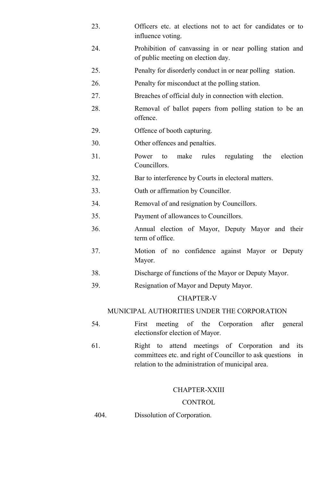- 23. Officers etc. at elections not to act for candidates or to influence voting.
- 24. Prohibition of canvassing in or near polling station and of public meeting on election day.
- 25. Penalty for disorderly conduct in or near polling station.
- 26. Penalty for misconduct at the polling station.
- 27. Breaches of official duly in connection with election.
- 28. Removal of ballot papers from polling station to be an offence.
- 29. Offence of booth capturing.
- 30. Other offences and penalties.
- 31. Power to make rules regulating the election Councillors.
- 32. Bar to interference by Courts in electoral matters.
- 33. Oath or affirmation by Councillor.
- 34. Removal of and resignation by Councillors.
- 35. Payment of allowances to Councillors.
- 36. Annual election of Mayor, Deputy Mayor and their term of office.
- 37. Motion of no confidence against Mayor or Deputy Mayor.
- 38. Discharge of functions of the Mayor or Deputy Mayor.
- 39. Resignation of Mayor and Deputy Mayor.

## CHAPTER-V

## MUNICIPAL AUTHORITIES UNDER THE CORPORATION

- 54. First meeting of the Corporation after general electionsfor election of Mayor.
- 61. Right to attend meetings of Corporation and its committees etc. and right of Councillor to ask questions in relation to the administration of municipal area.

## CHAPTER-XXIII

## **CONTROL**

404. Dissolution of Corporation.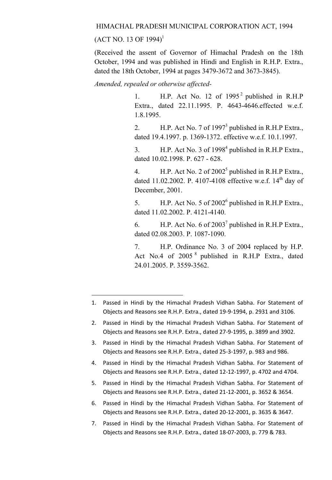### HIMACHAL PRADESH MUNICIPAL CORPORATION ACT, 1994

 $(ACT NO. 13 OF 1994)^1$ 

**.** 

(Received the assent of Governor of Himachal Pradesh on the 18th October, 1994 and was published in Hindi and English in R.H.P. Extra., dated the 18th October, 1994 at pages 3479-3672 and 3673-3845).

*Amended, repealed or otherwise affected-*

1. H.P. Act No. 12 of  $1995<sup>2</sup>$  published in R.H.P Extra., dated 22.11.1995. P. 4643-4646.effected w.e.f. 1.8.1995.

2. H.P. Act No. 7 of 1997<sup>3</sup> published in R.H.P Extra., dated 19.4.1997. p. 1369-1372. effective w.e.f. 10.1.1997.

3.  $H.P.$  Act No. 3 of 1998<sup>4</sup> published in R.H.P Extra., dated 10.02.1998. P. 627 - 628.

4. H.P. Act No. 2 of  $2002^5$  published in R.H.P Extra., dated 11.02.2002. P. 4107-4108 effective w.e.f.  $14<sup>th</sup>$  day of December, 2001.

5. H.P. Act No. 5 of  $2002^6$  published in R.H.P Extra., dated 11.02.2002. P. 4121-4140.

6. H.P. Act No. 6 of  $2003^7$  published in R.H.P Extra., dated 02.08.2003. P. 1087-1090.

7. H.P. Ordinance No. 3 of 2004 replaced by H.P. Act No.4 of 2005 <sup>8</sup> published in R.H.P Extra., dated 24.01.2005. P. 3559-3562.

- 3. Passed in Hindi by the Himachal Pradesh Vidhan Sabha. For Statement of Objects and Reasons see R.H.P. Extra., dated 25-3-1997, p. 983 and 986.
- 4. Passed in Hindi by the Himachal Pradesh Vidhan Sabha. For Statement of Objects and Reasons see R.H.P. Extra., dated 12-12-1997, p. 4702 and 4704.
- 5. Passed in Hindi by the Himachal Pradesh Vidhan Sabha. For Statement of Objects and Reasons see R.H.P. Extra., dated 21-12-2001, p. 3652 & 3654.
- 6. Passed in Hindi by the Himachal Pradesh Vidhan Sabha. For Statement of Objects and Reasons see R.H.P. Extra., dated 20-12-2001, p. 3635 & 3647.
- 7. Passed in Hindi by the Himachal Pradesh Vidhan Sabha. For Statement of Objects and Reasons see R.H.P. Extra., dated 18-07-2003, p. 779 & 783.

<sup>1.</sup> Passed in Hindi by the Himachal Pradesh Vidhan Sabha. For Statement of Objects and Reasons see R.H.P. Extra., dated 19-9-1994, p. 2931 and 3106.

<sup>2.</sup> Passed in Hindi by the Himachal Pradesh Vidhan Sabha. For Statement of Objects and Reasons see R.H.P. Extra., dated 27-9-1995, p. 3899 and 3902.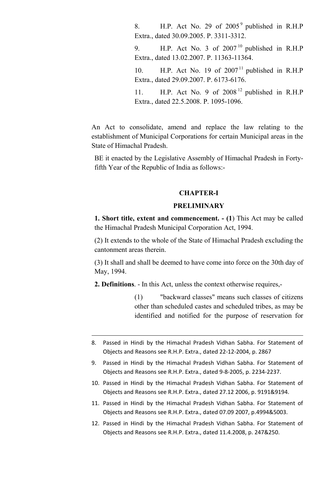8. H.P. Act No. 29 of  $2005<sup>9</sup>$  published in R.H.P Extra., dated 30.09.2005. P. 3311-3312.

9. H.P. Act No. 3 of  $2007<sup>10</sup>$  published in R.H.P Extra., dated 13.02.2007. P. 11363-11364.

10. H.P. Act No. 19 of  $2007<sup>11</sup>$  published in R.H.P Extra., dated 29.09.2007. P. 6173-6176.

11. H.P. Act No. 9 of  $2008<sup>12</sup>$  published in R.H.P Extra., dated 22.5.2008. P. 1095-1096.

An Act to consolidate, amend and replace the law relating to the establishment of Municipal Corporations for certain Municipal areas in the State of Himachal Pradesh.

BE it enacted by the Legislative Assembly of Himachal Pradesh in Fortyfifth Year of the Republic of India as follows:-

#### CHAPTER-I

### **PRELIMINARY**

1. Short title, extent and commencement. - (1) This Act may be called the Himachal Pradesh Municipal Corporation Act, 1994.

(2) It extends to the whole of the State of Himachal Pradesh excluding the cantonment areas therein.

(3) It shall and shall be deemed to have come into force on the 30th day of May, 1994.

2. Definitions. - In this Act, unless the context otherwise requires,-

**.** 

(1) "backward classes" means such classes of citizens other than scheduled castes and scheduled tribes, as may be identified and notified for the purpose of reservation for

- 8. Passed in Hindi by the Himachal Pradesh Vidhan Sabha. For Statement of Objects and Reasons see R.H.P. Extra., dated 22-12-2004, p. 2867
- 9. Passed in Hindi by the Himachal Pradesh Vidhan Sabha. For Statement of Objects and Reasons see R.H.P. Extra., dated 9-8-2005, p. 2234-2237.
- 10. Passed in Hindi by the Himachal Pradesh Vidhan Sabha. For Statement of Objects and Reasons see R.H.P. Extra., dated 27.12 2006, p. 9191&9194.
- 11. Passed in Hindi by the Himachal Pradesh Vidhan Sabha. For Statement of Objects and Reasons see R.H.P. Extra., dated 07.09 2007, p.4994&5003.
- 12. Passed in Hindi by the Himachal Pradesh Vidhan Sabha. For Statement of Objects and Reasons see R.H.P. Extra., dated 11.4.2008, p. 247&250.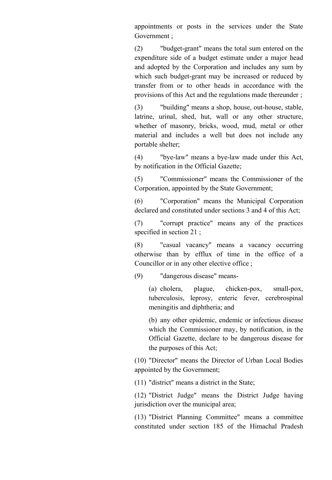appointments or posts in the services under the State Government ;

(2) "budget-grant" means the total sum entered on the expenditure side of a budget estimate under a major head and adopted by the Corporation and includes any sum by which such budget-grant may be increased or reduced by transfer from or to other heads in accordance with the provisions of this Act and the regulations made thereunder ;

(3) "building" means a shop, house, out-house, stable, latrine, urinal, shed, hut, wall or any other structure, whether of masonry, bricks, wood, mud, metal or other material and includes a well but does not include any portable shelter;

(4) "bye-law" means a bye-law made under this Act, by notification in the Official Gazette;

(5) "Commissioner" means the Commissioner of the Corporation, appointed by the State Government;

(6) "Corporation" means the Municipal Corporation declared and constituted under sections 3 and 4 of this Act;

(7) "corrupt practice" means any of the practices specified in section 21 ;

(8) "casual vacancy" means a vacancy occurring otherwise than by efflux of time in the office of a Councillor or in any other elective office ;

(9) "dangerous disease" means-

(a) cholera, plague, chicken-pox, small-pox, tuberculosis, leprosy, enteric fever, cerebrospinal meningitis and diphtheria; and

(b) any other epidemic, endemic or infectious disease which the Commissioner may, by notification, in the Official Gazette, declare to be dangerous disease for the purposes of this Act;

(10) "Director" means the Director of Urban Local Bodies appointed by the Government;

(11) "district" means a district in the State;

(12) "District Judge" means the District Judge having jurisdiction over the municipal area;

(13) "District Planning Committee" means a committee constituted under section 185 of the Himachal Pradesh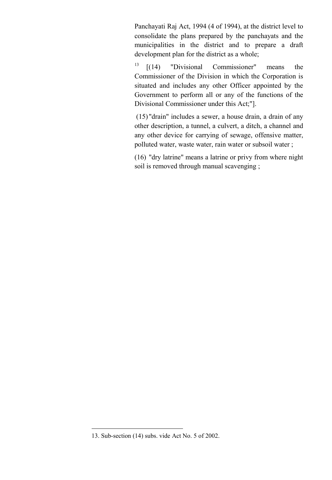Panchayati Raj Act, 1994 (4 of 1994), at the district level to consolidate the plans prepared by the panchayats and the municipalities in the district and to prepare a draft development plan for the district as a whole;

 $13$   $[(14)$  "Divisional Commissioner" means the Commissioner of the Division in which the Corporation is situated and includes any other Officer appointed by the Government to perform all or any of the functions of the Divisional Commissioner under this Act;"].

(15) "drain" includes a sewer, a house drain, a drain of any other description, a tunnel, a culvert, a ditch, a channel and any other device for carrying of sewage, offensive matter, polluted water, waste water, rain water or subsoil water;

(16) "dry latrine" means a latrine or privy from where night soil is removed through manual scavenging ;

<sup>13.</sup> Sub-section (14) subs. vide Act No. 5 of 2002.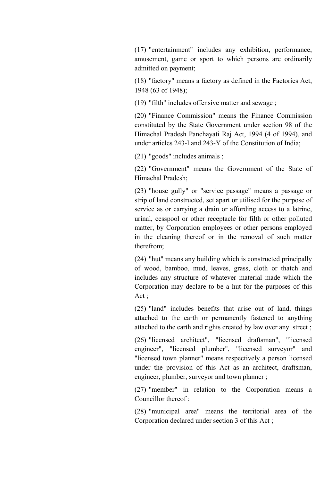(17) "entertainment" includes any exhibition, performance, amusement, game or sport to which persons are ordinarily admitted on payment;

(18) "factory" means a factory as defined in the Factories Act, 1948 (63 of 1948);

(19) "filth" includes offensive matter and sewage ;

(20) "Finance Commission" means the Finance Commission constituted by the State Government under section 98 of the Himachal Pradesh Panchayati Raj Act, 1994 (4 of 1994), and under articles 243-I and 243-Y of the Constitution of India;

(21) "goods" includes animals ;

(22) "Government" means the Government of the State of Himachal Pradesh;

(23) "house gully" or "service passage" means a passage or strip of land constructed, set apart or utilised for the purpose of service as or carrying a drain or affording access to a latrine, urinal, cesspool or other receptacle for filth or other polluted matter, by Corporation employees or other persons employed in the cleaning thereof or in the removal of such matter therefrom;

(24) "hut" means any building which is constructed principally of wood, bamboo, mud, leaves, grass, cloth or thatch and includes any structure of whatever material made which the Corporation may declare to be a hut for the purposes of this Act ;

(25) "land" includes benefits that arise out of land, things attached to the earth or permanently fastened to anything attached to the earth and rights created by law over any street ;

(26) "licensed architect", "licensed draftsman", "licensed engineer", "licensed plumber", "licensed surveyor" and "licensed town planner" means respectively a person licensed under the provision of this Act as an architect, draftsman, engineer, plumber, surveyor and town planner ;

(27) "member" in relation to the Corporation means a Councillor thereof :

(28) "municipal area" means the territorial area of the Corporation declared under section 3 of this Act ;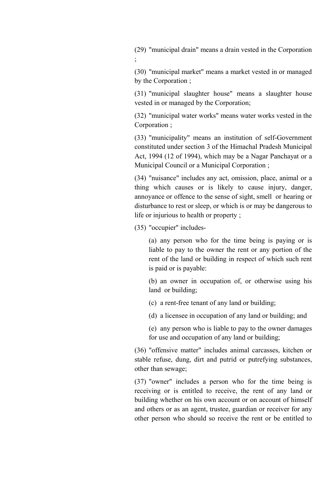(29) "municipal drain" means a drain vested in the Corporation ;

(30) "municipal market" means a market vested in or managed by the Corporation ;

(31) "municipal slaughter house" means a slaughter house vested in or managed by the Corporation;

(32) "municipal water works" means water works vested in the Corporation ;

(33) "municipality" means an institution of self-Government constituted under section 3 of the Himachal Pradesh Municipal Act, 1994 (12 of 1994), which may be a Nagar Panchayat or a Municipal Council or a Municipal Corporation ;

(34) "nuisance" includes any act, omission, place, animal or a thing which causes or is likely to cause injury, danger, annoyance or offence to the sense of sight, smell or hearing or disturbance to rest or sleep, or which is or may be dangerous to life or injurious to health or property ;

(35) "occupier" includes-

(a) any person who for the time being is paying or is liable to pay to the owner the rent or any portion of the rent of the land or building in respect of which such rent is paid or is payable:

(b) an owner in occupation of, or otherwise using his land or building;

- (c) a rent-free tenant of any land or building;
- (d) a licensee in occupation of any land or building; and
- (e) any person who is liable to pay to the owner damages for use and occupation of any land or building;

(36) "offensive matter" includes animal carcasses, kitchen or stable refuse, dung, dirt and putrid or putrefying substances, other than sewage;

(37) "owner" includes a person who for the time being is receiving or is entitled to receive, the rent of any land or building whether on his own account or on account of himself and others or as an agent, trustee, guardian or receiver for any other person who should so receive the rent or be entitled to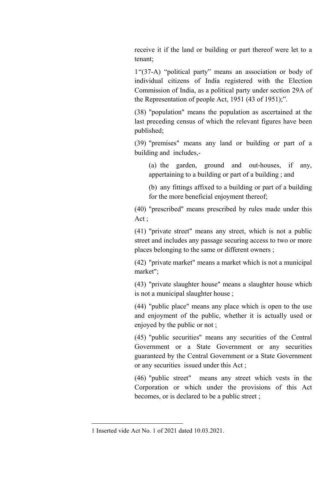receive it if the land or building or part thereof were let to a tenant;

1"(37-A) "political party" means an association or body of individual citizens of India registered with the Election Commission of India, as a political party under section 29A of the Representation of people Act, 1951 (43 of 1951);".

(38) "population" means the population as ascertained at the last preceding census of which the relevant figures have been published;

(39) "premises" means any land or building or part of a building and includes,-

(a) the garden, ground and out-houses, if any, appertaining to a building or part of a building ; and

(b) any fittings affixed to a building or part of a building for the more beneficial enjoyment thereof;

(40) "prescribed" means prescribed by rules made under this Act ;

(41) "private street" means any street, which is not a public street and includes any passage securing access to two or more places belonging to the same or different owners ;

(42) "private market" means a market which is not a municipal market";

(43) "private slaughter house" means a slaughter house which is not a municipal slaughter house ;

(44) "public place" means any place which is open to the use and enjoyment of the public, whether it is actually used or enjoyed by the public or not ;

(45) "public securities" means any securities of the Central Government or a State Government or any securities guaranteed by the Central Government or a State Government or any securities issued under this Act ;

(46) "public street" means any street which vests in the Corporation or which under the provisions of this Act becomes, or is declared to be a public street ;

<sup>1</sup> Inserted vide Act No. 1 of 2021 dated 10.03.2021.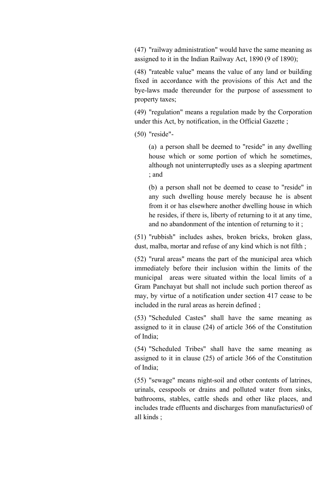(47) "railway administration" would have the same meaning as assigned to it in the Indian Railway Act, 1890 (9 of 1890);

(48) "rateable value" means the value of any land or building fixed in accordance with the provisions of this Act and the bye-laws made thereunder for the purpose of assessment to property taxes;

(49) "regulation" means a regulation made by the Corporation under this Act, by notification, in the Official Gazette ;

(50) "reside"-

(a) a person shall be deemed to "reside" in any dwelling house which or some portion of which he sometimes, although not uninterruptedly uses as a sleeping apartment ; and

(b) a person shall not be deemed to cease to "reside" in any such dwelling house merely because he is absent from it or has elsewhere another dwelling house in which he resides, if there is, liberty of returning to it at any time, and no abandonment of the intention of returning to it ;

(51) "rubbish" includes ashes, broken bricks, broken glass, dust, malba, mortar and refuse of any kind which is not filth ;

(52) "rural areas" means the part of the municipal area which immediately before their inclusion within the limits of the municipal areas were situated within the local limits of a Gram Panchayat but shall not include such portion thereof as may, by virtue of a notification under section 417 cease to be included in the rural areas as herein defined ;

(53) "Scheduled Castes" shall have the same meaning as assigned to it in clause (24) of article 366 of the Constitution of India;

(54) "Scheduled Tribes" shall have the same meaning as assigned to it in clause (25) of article 366 of the Constitution of India;

(55) "sewage" means night-soil and other contents of latrines, urinals, cesspools or drains and polluted water from sinks, bathrooms, stables, cattle sheds and other like places, and includes trade effluents and discharges from manufacturies0 of all kinds ;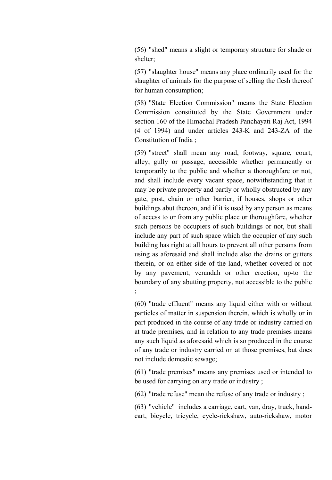(56) "shed" means a slight or temporary structure for shade or shelter;

(57) "slaughter house" means any place ordinarily used for the slaughter of animals for the purpose of selling the flesh thereof for human consumption;

(58) "State Election Commission" means the State Election Commission constituted by the State Government under section 160 of the Himachal Pradesh Panchayati Raj Act, 1994 (4 of 1994) and under articles 243-K and 243-ZA of the Constitution of India ;

(59) "street" shall mean any road, footway, square, court, alley, gully or passage, accessible whether permanently or temporarily to the public and whether a thoroughfare or not, and shall include every vacant space, notwithstanding that it may be private property and partly or wholly obstructed by any gate, post, chain or other barrier, if houses, shops or other buildings abut thereon, and if it is used by any person as means of access to or from any public place or thoroughfare, whether such persons be occupiers of such buildings or not, but shall include any part of such space which the occupier of any such building has right at all hours to prevent all other persons from using as aforesaid and shall include also the drains or gutters therein, or on either side of the land, whether covered or not by any pavement, verandah or other erection, up-to the boundary of any abutting property, not accessible to the public ;

(60) "trade effluent" means any liquid either with or without particles of matter in suspension therein, which is wholly or in part produced in the course of any trade or industry carried on at trade premises, and in relation to any trade premises means any such liquid as aforesaid which is so produced in the course of any trade or industry carried on at those premises, but does not include domestic sewage;

(61) "trade premises" means any premises used or intended to be used for carrying on any trade or industry ;

(62) "trade refuse" mean the refuse of any trade or industry ;

(63) "vehicle" includes a carriage, cart, van, dray, truck, handcart, bicycle, tricycle, cycle-rickshaw, auto-rickshaw, motor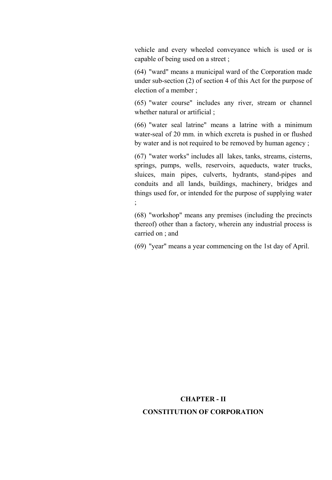vehicle and every wheeled conveyance which is used or is capable of being used on a street ;

(64) "ward" means a municipal ward of the Corporation made under sub-section (2) of section 4 of this Act for the purpose of election of a member ;

(65) "water course" includes any river, stream or channel whether natural or artificial ;

(66) "water seal latrine" means a latrine with a minimum water-seal of 20 mm. in which excreta is pushed in or flushed by water and is not required to be removed by human agency ;

(67) "water works" includes all lakes, tanks, streams, cisterns, springs, pumps, wells, reservoirs, aqueducts, water trucks, sluices, main pipes, culverts, hydrants, stand-pipes and conduits and all lands, buildings, machinery, bridges and things used for, or intended for the purpose of supplying water ;

(68) "workshop" means any premises (including the precincts thereof) other than a factory, wherein any industrial process is carried on ; and

(69) "year" means a year commencing on the 1st day of April.

# CHAPTER - II CONSTITUTION OF CORPORATION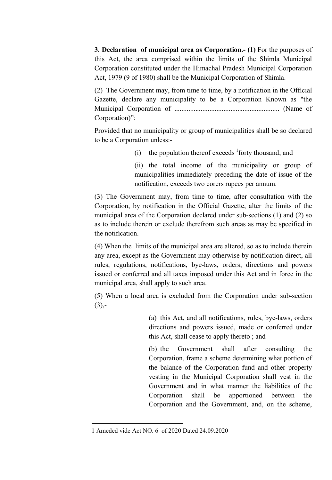3. Declaration of municipal area as Corporation.- (1) For the purposes of this Act, the area comprised within the limits of the Shimla Municipal Corporation constituted under the Himachal Pradesh Municipal Corporation Act, 1979 (9 of 1980) shall be the Municipal Corporation of Shimla.

(2) The Government may, from time to time, by a notification in the Official Gazette, declare any municipality to be a Corporation Known as "the Municipal Corporation of ............................................................ (Name of Corporation)":

Provided that no municipality or group of municipalities shall be so declared to be a Corporation unless:-

(i) the population thereof exceeds  ${}^{1}$  forty thousand; and

(ii) the total income of the municipality or group of municipalities immediately preceding the date of issue of the notification, exceeds two corers rupees per annum.

(3) The Government may, from time to time, after consultation with the Corporation, by notification in the Official Gazette, alter the limits of the municipal area of the Corporation declared under sub-sections (1) and (2) so as to include therein or exclude therefrom such areas as may be specified in the notification.

(4) When the limits of the municipal area are altered, so as to include therein any area, except as the Government may otherwise by notification direct, all rules, regulations, notifications, bye-laws, orders, directions and powers issued or conferred and all taxes imposed under this Act and in force in the municipal area, shall apply to such area.

(5) When a local area is excluded from the Corporation under sub-section  $(3)$ .

> (a) this Act, and all notifications, rules, bye-laws, orders directions and powers issued, made or conferred under this Act, shall cease to apply thereto ; and

> (b) the Government shall after consulting the Corporation, frame a scheme determining what portion of the balance of the Corporation fund and other property vesting in the Municipal Corporation shall vest in the Government and in what manner the liabilities of the Corporation shall be apportioned between the Corporation and the Government, and, on the scheme,

<sup>1</sup> Ameded vide Act NO. 6 of 2020 Dated 24.09.2020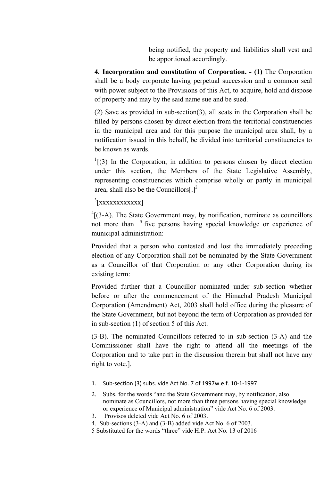being notified, the property and liabilities shall vest and be apportioned accordingly.

4. Incorporation and constitution of Corporation. - (1) The Corporation shall be a body corporate having perpetual succession and a common seal with power subject to the Provisions of this Act, to acquire, hold and dispose of property and may by the said name sue and be sued.

(2) Save as provided in sub-section(3), all seats in the Corporation shall be filled by persons chosen by direct election from the territorial constituencies in the municipal area and for this purpose the municipal area shall, by a notification issued in this behalf, be divided into territorial constituencies to be known as wards.

 $1$ [(3) In the Corporation, in addition to persons chosen by direct election under this section, the Members of the State Legislative Assembly, representing constituencies which comprise wholly or partly in municipal area, shall also be the Councillors $[.]^2$ 

<sup>3</sup>[xxxxxxxxxxx]

**.** 

 $^{4}$ [(3-A). The State Government may, by notification, nominate as councillors not more than <sup>5</sup> five persons having special knowledge or experience of municipal administration:

Provided that a person who contested and lost the immediately preceding election of any Corporation shall not be nominated by the State Government as a Councillor of that Corporation or any other Corporation during its existing term:

Provided further that a Councillor nominated under sub-section whether before or after the commencement of the Himachal Pradesh Municipal Corporation (Amendment) Act, 2003 shall hold office during the pleasure of the State Government, but not beyond the term of Corporation as provided for in sub-section (1) of section 5 of this Act.

(3-B). The nominated Councillors referred to in sub-section (3-A) and the Commissioner shall have the right to attend all the meetings of the Corporation and to take part in the discussion therein but shall not have any right to vote.].

3. Provisos deleted vide Act No. 6 of 2003.

<sup>1.</sup> Sub-section (3) subs. vide Act No. 7 of 1997w.e.f. 10-1-1997.

<sup>2.</sup> Subs. for the words "and the State Government may, by notification, also nominate as Councillors, not more than three persons having special knowledge or experience of Municipal administration" vide Act No. 6 of 2003.

<sup>4.</sup> Sub-sections (3-A) and (3-B) added vide Act No. 6 of 2003.

<sup>5</sup> Substituted for the words "three" vide H.P. Act No. 13 of 2016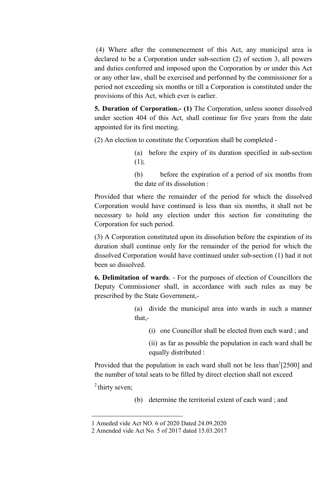(4) Where after the commencement of this Act, any municipal area is declared to be a Corporation under sub-section (2) of section 3, all powers and duties conferred and imposed upon the Corporation by or under this Act or any other law, shall be exercised and performed by the commissioner for a period not exceeding six months or till a Corporation is constituted under the provisions of this Act, which ever is earlier.

5. Duration of Corporation.- (1) The Corporation, unless sooner dissolved under section 404 of this Act, shall continue for five years from the date appointed for its first meeting.

(2) An election to constitute the Corporation shall be completed -

- (a) before the expiry of its duration specified in sub-section  $(1);$
- (b) before the expiration of a period of six months from the date of its dissolution :

Provided that where the remainder of the period for which the dissolved Corporation would have continued is less than six months, it shall not be necessary to hold any election under this section for constituting the Corporation for such period.

(3) A Corporation constituted upon its dissolution before the expiration of its duration shall continue only for the remainder of the period for which the dissolved Corporation would have continued under sub-section (1) had it not been so dissolved.

6. Delimitation of wards. - For the purposes of election of Councillors the Deputy Commissioner shall, in accordance with such rules as may be prescribed by the State Government,-

- (a) divide the municipal area into wards in such a manner that,-
	- (i) one Councillor shall be elected from each ward ; and
	- (ii) as far as possible the population in each ward shall be equally distributed :

Provided that the population in each ward shall not be less than  $[2500]$  and the number of total seats to be filled by direct election shall not exceed

 $2$  thirty seven;

**.** 

(b) determine the territorial extent of each ward ; and

<sup>1</sup> Ameded vide Act NO. 6 of 2020 Dated 24.09.2020

<sup>2</sup> Amended vide Act No. 5 of 2017 dated 15.03.2017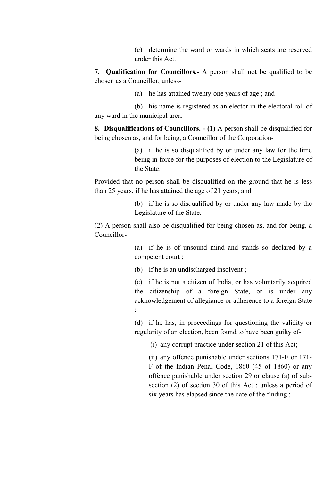(c) determine the ward or wards in which seats are reserved under this Act.

7. Qualification for Councillors.- A person shall not be qualified to be chosen as a Councillor, unless-

(a) he has attained twenty-one years of age ; and

(b) his name is registered as an elector in the electoral roll of any ward in the municipal area.

8. Disqualifications of Councillors. - (1) A person shall be disqualified for being chosen as, and for being, a Councillor of the Corporation-

> (a) if he is so disqualified by or under any law for the time being in force for the purposes of election to the Legislature of the State:

Provided that no person shall be disqualified on the ground that he is less than 25 years, if he has attained the age of 21 years; and

> (b) if he is so disqualified by or under any law made by the Legislature of the State.

(2) A person shall also be disqualified for being chosen as, and for being, a Councillor-

> (a) if he is of unsound mind and stands so declared by a competent court ;

(b) if he is an undischarged insolvent ;

(c) if he is not a citizen of India, or has voluntarily acquired the citizenship of a foreign State, or is under any acknowledgement of allegiance or adherence to a foreign State ;

(d) if he has, in proceedings for questioning the validity or regularity of an election, been found to have been guilty of-

(i) any corrupt practice under section 21 of this Act;

(ii) any offence punishable under sections 171-E or 171- F of the Indian Penal Code, 1860 (45 of 1860) or any offence punishable under section 29 or clause (a) of subsection (2) of section 30 of this Act ; unless a period of six years has elapsed since the date of the finding ;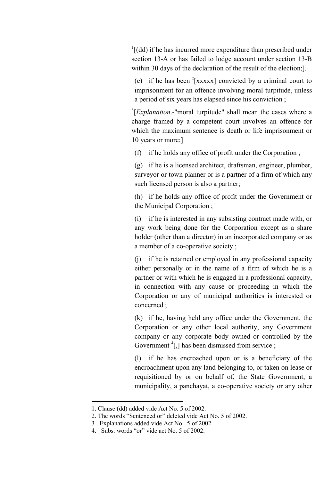$\frac{1}{1}$ [(dd) if he has incurred more expenditure than prescribed under section 13-A or has failed to lodge account under section 13-B within 30 days of the declaration of the result of the election;].

(e) if he has been  $2$ [xxxxx] convicted by a criminal court to imprisonment for an offence involving moral turpitude, unless a period of six years has elapsed since his conviction ;

<sup>3</sup>[*Explanation*.-"moral turpitude" shall mean the cases where a charge framed by a competent court involves an offence for which the maximum sentence is death or life imprisonment or 10 years or more;]

(f) if he holds any office of profit under the Corporation ;

(g) if he is a licensed architect, draftsman, engineer, plumber, surveyor or town planner or is a partner of a firm of which any such licensed person is also a partner;

(h) if he holds any office of profit under the Government or the Municipal Corporation ;

(i) if he is interested in any subsisting contract made with, or any work being done for the Corporation except as a share holder (other than a director) in an incorporated company or as a member of a co-operative society ;

(j) if he is retained or employed in any professional capacity either personally or in the name of a firm of which he is a partner or with which he is engaged in a professional capacity, in connection with any cause or proceeding in which the Corporation or any of municipal authorities is interested or concerned ;

(k) if he, having held any office under the Government, the Corporation or any other local authority, any Government company or any corporate body owned or controlled by the Government  ${}^{4}$ [,] has been dismissed from service ;

(l) if he has encroached upon or is a beneficiary of the encroachment upon any land belonging to, or taken on lease or requisitioned by or on behalf of, the State Government, a municipality, a panchayat, a co-operative society or any other

**.** 

<sup>1.</sup> Clause (dd) added vide Act No. 5 of 2002.

<sup>2.</sup> The words "Sentenced or" deleted vide Act No. 5 of 2002.

<sup>3</sup> . Explanations added vide Act No. 5 of 2002.

<sup>4.</sup> Subs. words "or" vide act No. 5 of 2002.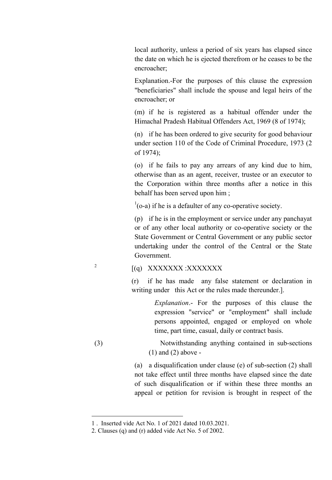local authority, unless a period of six years has elapsed since the date on which he is ejected therefrom or he ceases to be the encroacher;

Explanation.-For the purposes of this clause the expression "beneficiaries" shall include the spouse and legal heirs of the encroacher; or

(m) if he is registered as a habitual offender under the Himachal Pradesh Habitual Offenders Act, 1969 (8 of 1974);

(n) if he has been ordered to give security for good behaviour under section 110 of the Code of Criminal Procedure, 1973 (2 of 1974);

(o) if he fails to pay any arrears of any kind due to him, otherwise than as an agent, receiver, trustee or an executor to the Corporation within three months after a notice in this behalf has been served upon him ;

 $<sup>1</sup>(o-a)$  if he is a defaulter of any co-operative society.</sup>

(p) if he is in the employment or service under any panchayat or of any other local authority or co-operative society or the State Government or Central Government or any public sector undertaking under the control of the Central or the State Government.

# <sup>2</sup>  $[(q)$  XXXXXXXX :XXXXXXX

(r) if he has made any false statement or declaration in writing under this Act or the rules made thereunder...

> *Explanation*.- For the purposes of this clause the expression "service" or "employment" shall include persons appointed, engaged or employed on whole time, part time, casual, daily or contract basis.

(3) Notwithstanding anything contained in sub-sections (1) and (2) above -

> (a) a disqualification under clause (e) of sub-section (2) shall not take effect until three months have elapsed since the date of such disqualification or if within these three months an appeal or petition for revision is brought in respect of the

**.** 

<sup>1</sup> . Inserted vide Act No. 1 of 2021 dated 10.03.2021.

<sup>2.</sup> Clauses (q) and (r) added vide Act No. 5 of 2002.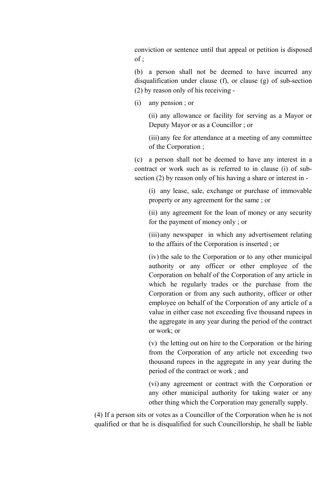conviction or sentence until that appeal or petition is disposed of ;

(b) a person shall not be deemed to have incurred any disqualification under clause (f), or clause (g) of sub-section (2) by reason only of his receiving -

(i) any pension ; or

(ii) any allowance or facility for serving as a Mayor or Deputy Mayor or as a Councillor ; or

(iii) any fee for attendance at a meeting of any committee of the Corporation ;

(c) a person shall not be deemed to have any interest in a contract or work such as is referred to in clause (i) of subsection (2) by reason only of his having a share or interest in -

(i) any lease, sale, exchange or purchase of immovable property or any agreement for the same ; or

(ii) any agreement for the loan of money or any security for the payment of money only ; or

(iii) any newspaper in which any advertisement relating to the affairs of the Corporation is inserted ; or

(iv) the sale to the Corporation or to any other municipal authority or any officer or other employee of the Corporation on behalf of the Corporation of any article in which he regularly trades or the purchase from the Corporation or from any such authority, officer or other employee on behalf of the Corporation of any article of a value in either case not exceeding five thousand rupees in the aggregate in any year during the period of the contract or work; or

(v) the letting out on hire to the Corporation or the hiring from the Corporation of any article not exceeding two thousand rupees in the aggregate in any year during the period of the contract or work ; and

(vi) any agreement or contract with the Corporation or any other municipal authority for taking water or any other thing which the Corporation may generally supply.

(4) If a person sits or votes as a Councillor of the Corporation when he is not qualified or that he is disqualified for such Councillorship, he shall be liable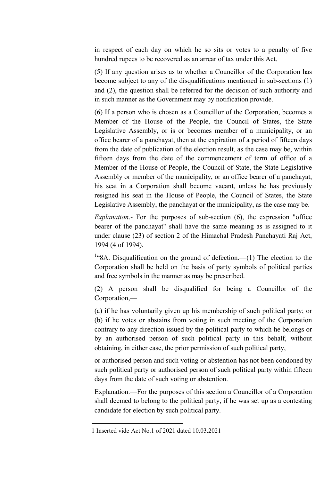in respect of each day on which he so sits or votes to a penalty of five hundred rupees to be recovered as an arrear of tax under this Act.

(5) If any question arises as to whether a Councillor of the Corporation has become subject to any of the disqualifications mentioned in sub-sections (1) and (2), the question shall be referred for the decision of such authority and in such manner as the Government may by notification provide.

(6) If a person who is chosen as a Councillor of the Corporation, becomes a Member of the House of the People, the Council of States, the State Legislative Assembly, or is or becomes member of a municipality, or an office bearer of a panchayat, then at the expiration of a period of fifteen days from the date of publication of the election result, as the case may be, within fifteen days from the date of the commencement of term of office of a Member of the House of People, the Council of State, the State Legislative Assembly or member of the municipality, or an office bearer of a panchayat, his seat in a Corporation shall become vacant, unless he has previously resigned his seat in the House of People, the Council of States, the State Legislative Assembly, the panchayat or the municipality, as the case may be.

*Explanation*.- For the purposes of sub-section (6), the expression "office bearer of the panchayat" shall have the same meaning as is assigned to it under clause (23) of section 2 of the Himachal Pradesh Panchayati Raj Act, 1994 (4 of 1994).

<sup>1,4</sup>8A. Disqualification on the ground of defection.—(1) The election to the Corporation shall be held on the basis of party symbols of political parties and free symbols in the manner as may be prescribed.

(2) A person shall be disqualified for being a Councillor of the Corporation,—

(a) if he has voluntarily given up his membership of such political party; or (b) if he votes or abstains from voting in such meeting of the Corporation contrary to any direction issued by the political party to which he belongs or by an authorised person of such political party in this behalf, without obtaining, in either case, the prior permission of such political party,

or authorised person and such voting or abstention has not been condoned by such political party or authorised person of such political party within fifteen days from the date of such voting or abstention.

Explanation.—For the purposes of this section a Councillor of a Corporation shall deemed to belong to the political party, if he was set up as a contesting candidate for election by such political party.

<sup>1</sup> Inserted vide Act No.1 of 2021 dated 10.03.2021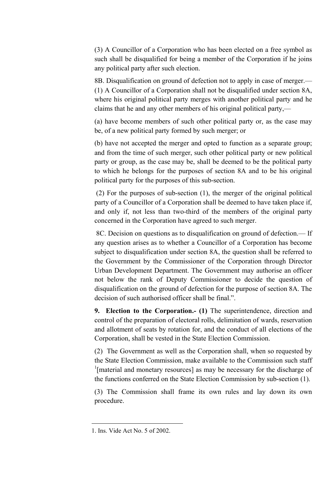(3) A Councillor of a Corporation who has been elected on a free symbol as such shall be disqualified for being a member of the Corporation if he joins any political party after such election.

8B. Disqualification on ground of defection not to apply in case of merger.— (1) A Councillor of a Corporation shall not be disqualified under section 8A, where his original political party merges with another political party and he claims that he and any other members of his original political party,—

(a) have become members of such other political party or, as the case may be, of a new political party formed by such merger; or

(b) have not accepted the merger and opted to function as a separate group; and from the time of such merger, such other political party or new political party or group, as the case may be, shall be deemed to be the political party to which he belongs for the purposes of section 8A and to be his original political party for the purposes of this sub-section.

(2) For the purposes of sub-section (1), the merger of the original political party of a Councillor of a Corporation shall be deemed to have taken place if, and only if, not less than two-third of the members of the original party concerned in the Corporation have agreed to such merger.

8C. Decision on questions as to disqualification on ground of defection.— If any question arises as to whether a Councillor of a Corporation has become subject to disqualification under section 8A, the question shall be referred to the Government by the Commissioner of the Corporation through Director Urban Development Department. The Government may authorise an officer not below the rank of Deputy Commissioner to decide the question of disqualification on the ground of defection for the purpose of section 8A. The decision of such authorised officer shall be final.".

9. Election to the Corporation.- (1) The superintendence, direction and control of the preparation of electoral rolls, delimitation of wards, reservation and allotment of seats by rotation for, and the conduct of all elections of the Corporation, shall be vested in the State Election Commission.

(2) The Government as well as the Corporation shall, when so requested by the State Election Commission, make available to the Commission such staff <sup>1</sup>[material and monetary resources] as may be necessary for the discharge of the functions conferred on the State Election Commission by sub-section (1).

(3) The Commission shall frame its own rules and lay down its own procedure.

<sup>1.</sup> Ins. Vide Act No. 5 of 2002.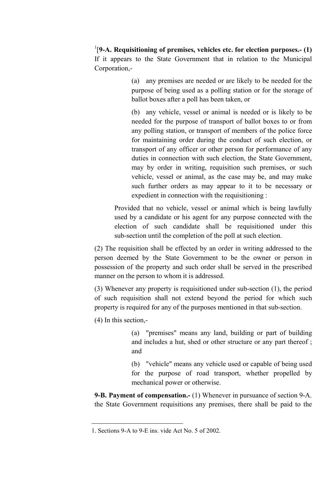$1$ [9-A. Requisitioning of premises, vehicles etc. for election purposes.- (1) If it appears to the State Government that in relation to the Municipal Corporation,-

> (a) any premises are needed or are likely to be needed for the purpose of being used as a polling station or for the storage of ballot boxes after a poll has been taken, or

> (b) any vehicle, vessel or animal is needed or is likely to be needed for the purpose of transport of ballot boxes to or from any polling station, or transport of members of the police force for maintaining order during the conduct of such election, or transport of any officer or other person for performance of any duties in connection with such election, the State Government, may by order in writing, requisition such premises, or such vehicle, vessel or animal, as the case may be, and may make such further orders as may appear to it to be necessary or expedient in connection with the requisitioning :

Provided that no vehicle, vessel or animal which is being lawfully used by a candidate or his agent for any purpose connected with the election of such candidate shall be requisitioned under this sub-section until the completion of the poll at such election.

(2) The requisition shall be effected by an order in writing addressed to the person deemed by the State Government to be the owner or person in possession of the property and such order shall be served in the prescribed manner on the person to whom it is addressed.

(3) Whenever any property is requisitioned under sub-section (1), the period of such requisition shall not extend beyond the period for which such property is required for any of the purposes mentioned in that sub-section.

(4) In this section,-

 $\overline{a}$ 

(a) "premises" means any land, building or part of building and includes a hut, shed or other structure or any part thereof ; and

(b) "vehicle" means any vehicle used or capable of being used for the purpose of road transport, whether propelled by mechanical power or otherwise.

9-B. Payment of compensation.- (1) Whenever in pursuance of section 9-A. the State Government requisitions any premises, there shall be paid to the

<sup>1.</sup> Sections 9-A to 9-E ins. vide Act No. 5 of 2002.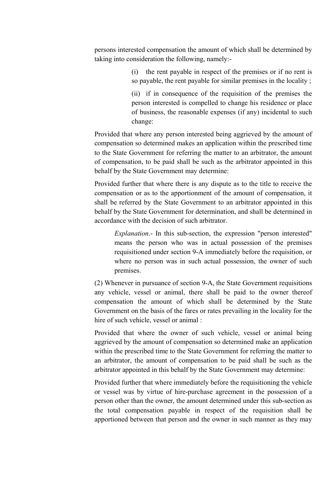persons interested compensation the amount of which shall be determined by taking into consideration the following, namely:-

> (i) the rent payable in respect of the premises or if no rent is so payable, the rent payable for similar premises in the locality ;

> (ii) if in consequence of the requisition of the premises the person interested is compelled to change his residence or place of business, the reasonable expenses (if any) incidental to such change:

Provided that where any person interested being aggrieved by the amount of compensation so determined makes an application within the prescribed time to the State Government for referring the matter to an arbitrator, the amount of compensation, to be paid shall be such as the arbitrator appointed in this behalf by the State Government may determine:

Provided further that where there is any dispute as to the title to receive the compensation or as to the apportionment of the amount of compensation, it shall be referred by the State Government to an arbitrator appointed in this behalf by the State Government for determination, and shall be determined in accordance with the decision of such arbitrator.

*Explanation*.- In this sub-section, the expression "person interested" means the person who was in actual possession of the premises requisitioned under section 9-A immediately before the requisition, or where no person was in such actual possession, the owner of such premises.

(2) Whenever in pursuance of section 9-A, the State Government requisitions any vehicle, vessel or animal, there shall be paid to the owner thereof compensation the amount of which shall be determined by the State Government on the basis of the fares or rates prevailing in the locality for the hire of such vehicle, vessel or animal :

Provided that where the owner of such vehicle, vessel or animal being aggrieved by the amount of compensation so determined make an application within the prescribed time to the State Government for referring the matter to an arbitrator, the amount of compensation to be paid shall be such as the arbitrator appointed in this behalf by the State Government may determine:

Provided further that where immediately before the requisitioning the vehicle or vessel was by virtue of hire-purchase agreement in the possession of a person other than the owner, the amount determined under this sub-section as the total compensation payable in respect of the requisition shall be apportioned between that person and the owner in such manner as they may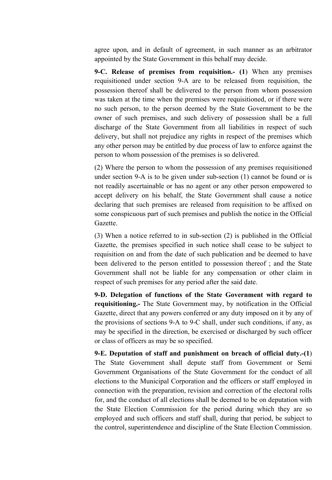agree upon, and in default of agreement, in such manner as an arbitrator appointed by the State Government in this behalf may decide.

9-C. Release of premises from requisition.- (1) When any premises requisitioned under section 9-A are to be released from requisition, the possession thereof shall be delivered to the person from whom possession was taken at the time when the premises were requisitioned, or if there were no such person, to the person deemed by the State Government to be the owner of such premises, and such delivery of possession shall be a full discharge of the State Government from all liabilities in respect of such delivery, but shall not prejudice any rights in respect of the premises which any other person may be entitled by due process of law to enforce against the person to whom possession of the premises is so delivered.

(2) Where the person to whom the possession of any premises requisitioned under section 9-A is to be given under sub-section (1) cannot be found or is not readily ascertainable or has no agent or any other person empowered to accept delivery on his behalf, the State Government shall cause a notice declaring that such premises are released from requisition to be affixed on some conspicuous part of such premises and publish the notice in the Official Gazette.

(3) When a notice referred to in sub-section (2) is published in the Official Gazette, the premises specified in such notice shall cease to be subject to requisition on and from the date of such publication and be deemed to have been delivered to the person entitled to possession thereof ; and the State Government shall not be liable for any compensation or other claim in respect of such premises for any period after the said date.

9-D. Delegation of functions of the State Government with regard to requisitioning.- The State Government may, by notification in the Official Gazette, direct that any powers conferred or any duty imposed on it by any of the provisions of sections 9-A to 9-C shall, under such conditions, if any, as may be specified in the direction, be exercised or discharged by such officer or class of officers as may be so specified.

9-E. Deputation of staff and punishment on breach of official duty.-(1) The State Government shall depute staff from Government or Semi Government Organisations of the State Government for the conduct of all elections to the Municipal Corporation and the officers or staff employed in connection with the preparation, revision and correction of the electoral rolls for, and the conduct of all elections shall be deemed to be on deputation with the State Election Commission for the period during which they are so employed and such officers and staff shall, during that period, be subject to the control, superintendence and discipline of the State Election Commission.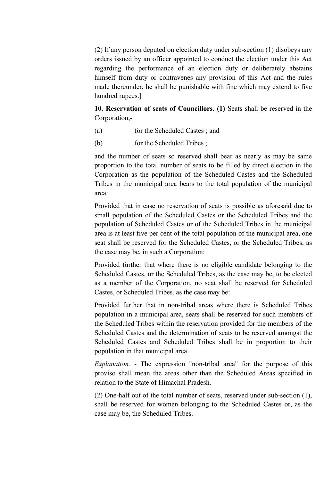(2) If any person deputed on election duty under sub-section (1) disobeys any orders issued by an officer appointed to conduct the election under this Act regarding the performance of an election duty or deliberately abstains himself from duty or contravenes any provision of this Act and the rules made thereunder, he shall be punishable with fine which may extend to five hundred rupees.]

10. Reservation of seats of Councillors. (1) Seats shall be reserved in the Corporation,-

- (a) for the Scheduled Castes ; and
- (b) for the Scheduled Tribes ;

and the number of seats so reserved shall bear as nearly as may be same proportion to the total number of seats to be filled by direct election in the Corporation as the population of the Scheduled Castes and the Scheduled Tribes in the municipal area bears to the total population of the municipal area:

Provided that in case no reservation of seats is possible as aforesaid due to small population of the Scheduled Castes or the Scheduled Tribes and the population of Scheduled Castes or of the Scheduled Tribes in the municipal area is at least five per cent of the total population of the municipal area, one seat shall be reserved for the Scheduled Castes, or the Scheduled Tribes, as the case may be, in such a Corporation:

Provided further that where there is no eligible candidate belonging to the Scheduled Castes, or the Scheduled Tribes, as the case may be, to be elected as a member of the Corporation, no seat shall be reserved for Scheduled Castes, or Scheduled Tribes, as the case may be:

Provided further that in non-tribal areas where there is Scheduled Tribes population in a municipal area, seats shall be reserved for such members of the Scheduled Tribes within the reservation provided for the members of the Scheduled Castes and the determination of seats to be reserved amongst the Scheduled Castes and Scheduled Tribes shall be in proportion to their population in that municipal area.

*Explanation. -* The expression "non-tribal area" for the purpose of this proviso shall mean the areas other than the Scheduled Areas specified in relation to the State of Himachal Pradesh.

(2) One-half out of the total number of seats, reserved under sub-section (1), shall be reserved for women belonging to the Scheduled Castes or, as the case may be, the Scheduled Tribes.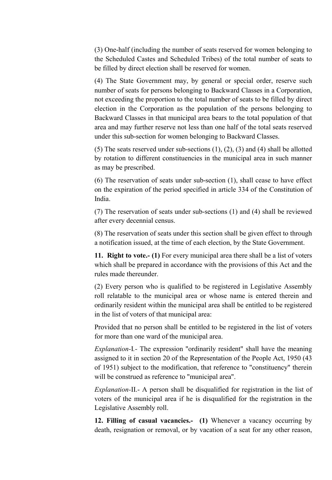(3) One-half (including the number of seats reserved for women belonging to the Scheduled Castes and Scheduled Tribes) of the total number of seats to be filled by direct election shall be reserved for women.

(4) The State Government may, by general or special order, reserve such number of seats for persons belonging to Backward Classes in a Corporation, not exceeding the proportion to the total number of seats to be filled by direct election in the Corporation as the population of the persons belonging to Backward Classes in that municipal area bears to the total population of that area and may further reserve not less than one half of the total seats reserved under this sub-section for women belonging to Backward Classes.

(5) The seats reserved under sub-sections (1), (2), (3) and (4) shall be allotted by rotation to different constituencies in the municipal area in such manner as may be prescribed.

(6) The reservation of seats under sub-section (1), shall cease to have effect on the expiration of the period specified in article 334 of the Constitution of India.

(7) The reservation of seats under sub-sections (1) and (4) shall be reviewed after every decennial census.

(8) The reservation of seats under this section shall be given effect to through a notification issued, at the time of each election, by the State Government.

11. Right to vote.- (1) For every municipal area there shall be a list of voters which shall be prepared in accordance with the provisions of this Act and the rules made thereunder.

(2) Every person who is qualified to be registered in Legislative Assembly roll relatable to the municipal area or whose name is entered therein and ordinarily resident within the municipal area shall be entitled to be registered in the list of voters of that municipal area:

Provided that no person shall be entitled to be registered in the list of voters for more than one ward of the municipal area.

*Explanation-*I*.-* The expression "ordinarily resident" shall have the meaning assigned to it in section 20 of the Representation of the People Act, 1950 (43 of 1951) subject to the modification, that reference to "constituency" therein will be construed as reference to "municipal area".

*Explanation-*II.- A person shall be disqualified for registration in the list of voters of the municipal area if he is disqualified for the registration in the Legislative Assembly roll.

12. Filling of casual vacancies.- (1) Whenever a vacancy occurring by death, resignation or removal, or by vacation of a seat for any other reason,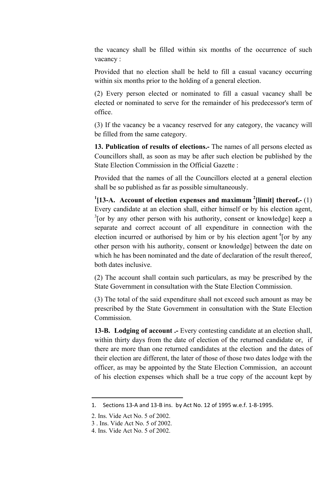the vacancy shall be filled within six months of the occurrence of such vacancy :

Provided that no election shall be held to fill a casual vacancy occurring within six months prior to the holding of a general election.

(2) Every person elected or nominated to fill a casual vacancy shall be elected or nominated to serve for the remainder of his predecessor's term of office.

(3) If the vacancy be a vacancy reserved for any category, the vacancy will be filled from the same category.

13. Publication of results of elections.- The names of all persons elected as Councillors shall, as soon as may be after such election be published by the State Election Commission in the Official Gazette :

Provided that the names of all the Councillors elected at a general election shall be so published as far as possible simultaneously.

<sup>1</sup>[13-A. Account of election expenses and maximum <sup>2</sup>[limit] thereof.- (1) Every candidate at an election shall, either himself or by his election agent,  $3$ [or by any other person with his authority, consent or knowledge] keep a separate and correct account of all expenditure in connection with the election incurred or authorised by him or by his election agent <sup>4</sup>[or by any other person with his authority, consent or knowledge] between the date on which he has been nominated and the date of declaration of the result thereof, both dates inclusive.

(2) The account shall contain such particulars, as may be prescribed by the State Government in consultation with the State Election Commission.

(3) The total of the said expenditure shall not exceed such amount as may be prescribed by the State Government in consultation with the State Election Commission.

13-B. Lodging of account .- Every contesting candidate at an election shall, within thirty days from the date of election of the returned candidate or, if there are more than one returned candidates at the election and the dates of their election are different, the later of those of those two dates lodge with the officer, as may be appointed by the State Election Commission, an account of his election expenses which shall be a true copy of the account kept by

1

<sup>1.</sup> Sections 13-A and 13-B ins. by Act No. 12 of 1995 w.e.f. 1-8-1995.

<sup>2.</sup> Ins. Vide Act No. 5 of 2002.

<sup>3</sup> . Ins. Vide Act No. 5 of 2002.

<sup>4.</sup> Ins. Vide Act No. 5 of 2002.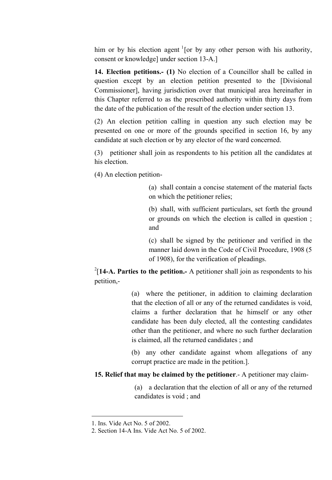him or by his election agent  $1$ [or by any other person with his authority, consent or knowledge] under section 13-A.]

14. Election petitions.- (1) No election of a Councillor shall be called in question except by an election petition presented to the [Divisional Commissioner], having jurisdiction over that municipal area hereinafter in this Chapter referred to as the prescribed authority within thirty days from the date of the publication of the result of the election under section 13.

(2) An election petition calling in question any such election may be presented on one or more of the grounds specified in section 16, by any candidate at such election or by any elector of the ward concerned.

(3) petitioner shall join as respondents to his petition all the candidates at his election.

(4) An election petition-

(a) shall contain a concise statement of the material facts on which the petitioner relies;

(b) shall, with sufficient particulars, set forth the ground or grounds on which the election is called in question ; and

(c) shall be signed by the petitioner and verified in the manner laid down in the Code of Civil Procedure, 1908 (5 of 1908), for the verification of pleadings.

 $2$ [14-A. Parties to the petition.- A petitioner shall join as respondents to his petition,-

> (a) where the petitioner, in addition to claiming declaration that the election of all or any of the returned candidates is void, claims a further declaration that he himself or any other candidate has been duly elected, all the contesting candidates other than the petitioner, and where no such further declaration is claimed, all the returned candidates ; and

> (b) any other candidate against whom allegations of any corrupt practice are made in the petition.].

15. Relief that may be claimed by the petitioner.- A petitioner may claim-

(a) a declaration that the election of all or any of the returned candidates is void ; and

**.** 

<sup>1.</sup> Ins. Vide Act No. 5 of 2002.

<sup>2.</sup> Section 14-A Ins. Vide Act No. 5 of 2002.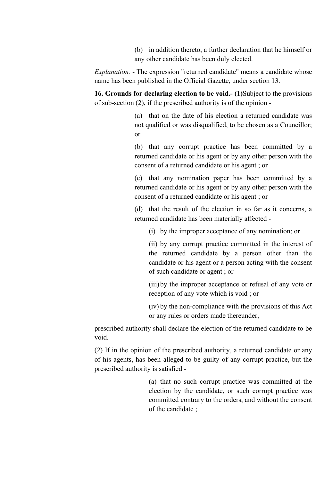(b) in addition thereto, a further declaration that he himself or any other candidate has been duly elected.

*Explanation.* - The expression "returned candidate" means a candidate whose name has been published in the Official Gazette, under section 13.

16. Grounds for declaring election to be void.- (1)Subject to the provisions of sub-section (2), if the prescribed authority is of the opinion -

> (a) that on the date of his election a returned candidate was not qualified or was disqualified, to be chosen as a Councillor; or

> (b) that any corrupt practice has been committed by a returned candidate or his agent or by any other person with the consent of a returned candidate or his agent ; or

> (c) that any nomination paper has been committed by a returned candidate or his agent or by any other person with the consent of a returned candidate or his agent ; or

> (d) that the result of the election in so far as it concerns, a returned candidate has been materially affected -

(i) by the improper acceptance of any nomination; or

(ii) by any corrupt practice committed in the interest of the returned candidate by a person other than the candidate or his agent or a person acting with the consent of such candidate or agent ; or

(iii) by the improper acceptance or refusal of any vote or reception of any vote which is void ; or

(iv) by the non-compliance with the provisions of this Act or any rules or orders made thereunder,

prescribed authority shall declare the election of the returned candidate to be void.

(2) If in the opinion of the prescribed authority, a returned candidate or any of his agents, has been alleged to be guilty of any corrupt practice, but the prescribed authority is satisfied -

> (a) that no such corrupt practice was committed at the election by the candidate, or such corrupt practice was committed contrary to the orders, and without the consent of the candidate ;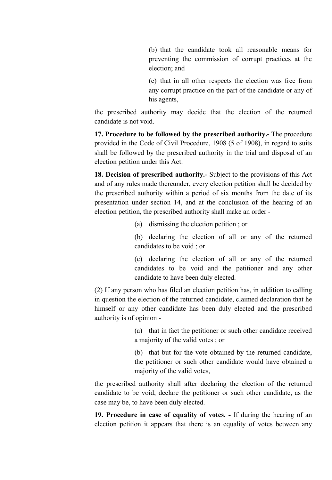(b) that the candidate took all reasonable means for preventing the commission of corrupt practices at the election; and

(c) that in all other respects the election was free from any corrupt practice on the part of the candidate or any of his agents,

the prescribed authority may decide that the election of the returned candidate is not void.

17. Procedure to be followed by the prescribed authority.- The procedure provided in the Code of Civil Procedure, 1908 (5 of 1908), in regard to suits shall be followed by the prescribed authority in the trial and disposal of an election petition under this Act.

18. Decision of prescribed authority.- Subject to the provisions of this Act and of any rules made thereunder, every election petition shall be decided by the prescribed authority within a period of six months from the date of its presentation under section 14, and at the conclusion of the hearing of an election petition, the prescribed authority shall make an order -

(a) dismissing the election petition ; or

(b) declaring the election of all or any of the returned candidates to be void ; or

(c) declaring the election of all or any of the returned candidates to be void and the petitioner and any other candidate to have been duly elected.

(2) If any person who has filed an election petition has, in addition to calling in question the election of the returned candidate, claimed declaration that he himself or any other candidate has been duly elected and the prescribed authority is of opinion -

> (a) that in fact the petitioner or such other candidate received a majority of the valid votes ; or

> (b) that but for the vote obtained by the returned candidate, the petitioner or such other candidate would have obtained a majority of the valid votes,

the prescribed authority shall after declaring the election of the returned candidate to be void, declare the petitioner or such other candidate, as the case may be, to have been duly elected.

19. Procedure in case of equality of votes. - If during the hearing of an election petition it appears that there is an equality of votes between any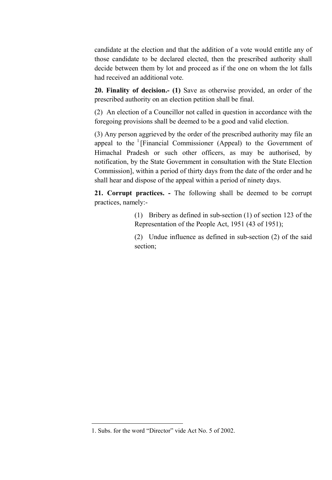candidate at the election and that the addition of a vote would entitle any of those candidate to be declared elected, then the prescribed authority shall decide between them by lot and proceed as if the one on whom the lot falls had received an additional vote.

20. Finality of decision.- (1) Save as otherwise provided, an order of the prescribed authority on an election petition shall be final.

(2) An election of a Councillor not called in question in accordance with the foregoing provisions shall be deemed to be a good and valid election.

(3) Any person aggrieved by the order of the prescribed authority may file an appeal to the  $(1)$ [Financial Commissioner (Appeal) to the Government of Himachal Pradesh or such other officers, as may be authorised, by notification, by the State Government in consultation with the State Election Commission], within a period of thirty days from the date of the order and he shall hear and dispose of the appeal within a period of ninety days.

21. Corrupt practices. - The following shall be deemed to be corrupt practices, namely:-

> (1) Bribery as defined in sub-section (1) of section 123 of the Representation of the People Act, 1951 (43 of 1951);

> (2) Undue influence as defined in sub-section (2) of the said section;

<sup>1.</sup> Subs. for the word "Director" vide Act No. 5 of 2002.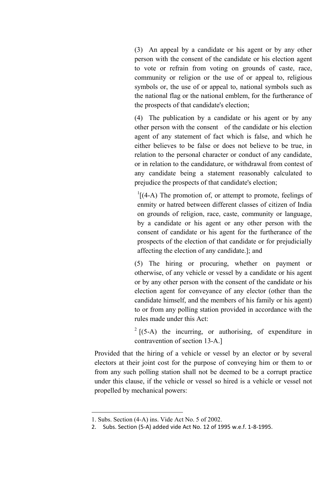(3) An appeal by a candidate or his agent or by any other person with the consent of the candidate or his election agent to vote or refrain from voting on grounds of caste, race, community or religion or the use of or appeal to, religious symbols or, the use of or appeal to, national symbols such as the national flag or the national emblem, for the furtherance of the prospects of that candidate's election;

(4) The publication by a candidate or his agent or by any other person with the consent of the candidate or his election agent of any statement of fact which is false, and which he either believes to be false or does not believe to be true, in relation to the personal character or conduct of any candidate, or in relation to the candidature, or withdrawal from contest of any candidate being a statement reasonably calculated to prejudice the prospects of that candidate's election;

 $\frac{1}{4}$ [(4-A) The promotion of, or attempt to promote, feelings of enmity or hatred between different classes of citizen of India on grounds of religion, race, caste, community or language, by a candidate or his agent or any other person with the consent of candidate or his agent for the furtherance of the prospects of the election of that candidate or for prejudicially affecting the election of any candidate.]; and

(5) The hiring or procuring, whether on payment or otherwise, of any vehicle or vessel by a candidate or his agent or by any other person with the consent of the candidate or his election agent for conveyance of any elector (other than the candidate himself, and the members of his family or his agent) to or from any polling station provided in accordance with the rules made under this Act:

 $2 \left[ (5-A) \right]$  the incurring, or authorising, of expenditure in contravention of section 13-A.]

Provided that the hiring of a vehicle or vessel by an elector or by several electors at their joint cost for the purpose of conveying him or them to or from any such polling station shall not be deemed to be a corrupt practice under this clause, if the vehicle or vessel so hired is a vehicle or vessel not propelled by mechanical powers:

<sup>1.</sup> Subs. Section (4-A) ins. Vide Act No. 5 of 2002.

<sup>2.</sup> Subs. Section (5-A) added vide Act No. 12 of 1995 w.e.f. 1-8-1995.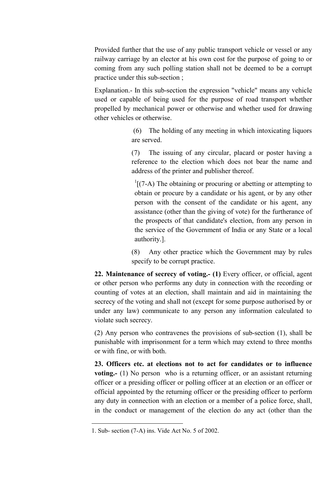Provided further that the use of any public transport vehicle or vessel or any railway carriage by an elector at his own cost for the purpose of going to or coming from any such polling station shall not be deemed to be a corrupt practice under this sub-section ;

Explanation.- In this sub-section the expression "vehicle" means any vehicle used or capable of being used for the purpose of road transport whether propelled by mechanical power or otherwise and whether used for drawing other vehicles or otherwise.

> (6) The holding of any meeting in which intoxicating liquors are served.

> (7) The issuing of any circular, placard or poster having a reference to the election which does not bear the name and address of the printer and publisher thereof.

 $\frac{1}{1}$ [(7-A) The obtaining or procuring or abetting or attempting to obtain or procure by a candidate or his agent, or by any other person with the consent of the candidate or his agent, any assistance (other than the giving of vote) for the furtherance of the prospects of that candidate's election, from any person in the service of the Government of India or any State or a local authority.].

(8) Any other practice which the Government may by rules specify to be corrupt practice.

22. Maintenance of secrecy of voting.- (1) Every officer, or official, agent or other person who performs any duty in connection with the recording or counting of votes at an election, shall maintain and aid in maintaining the secrecy of the voting and shall not (except for some purpose authorised by or under any law) communicate to any person any information calculated to violate such secrecy.

(2) Any person who contravenes the provisions of sub-section (1), shall be punishable with imprisonment for a term which may extend to three months or with fine, or with both.

23. Officers etc. at elections not to act for candidates or to influence voting.- (1) No person who is a returning officer, or an assistant returning officer or a presiding officer or polling officer at an election or an officer or official appointed by the returning officer or the presiding officer to perform any duty in connection with an election or a member of a police force, shall, in the conduct or management of the election do any act (other than the

<sup>1.</sup> Sub- section (7-A) ins. Vide Act No. 5 of 2002.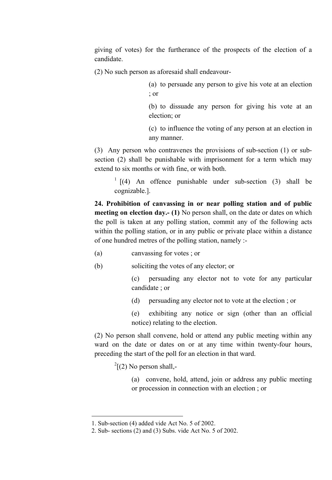giving of votes) for the furtherance of the prospects of the election of a candidate.

(2) No such person as aforesaid shall endeavour-

(a) to persuade any person to give his vote at an election ; or

(b) to dissuade any person for giving his vote at an election; or

(c) to influence the voting of any person at an election in any manner.

(3) Any person who contravenes the provisions of sub-section (1) or subsection (2) shall be punishable with imprisonment for a term which may extend to six months or with fine, or with both.

 $\frac{1}{1}$  [(4) An offence punishable under sub-section (3) shall be cognizable.].

24. Prohibition of canvassing in or near polling station and of public meeting on election day.- (1) No person shall, on the date or dates on which the poll is taken at any polling station, commit any of the following acts within the polling station, or in any public or private place within a distance of one hundred metres of the polling station, namely :-

- (a) canvassing for votes ; or
- (b) soliciting the votes of any elector; or

(c) persuading any elector not to vote for any particular candidate ; or

(d) persuading any elector not to vote at the election ; or

(e) exhibiting any notice or sign (other than an official notice) relating to the election.

(2) No person shall convene, hold or attend any public meeting within any ward on the date or dates on or at any time within twenty-four hours, preceding the start of the poll for an election in that ward.

 $2^2$ [(2) No person shall,-

(a) convene, hold, attend, join or address any public meeting or procession in connection with an election ; or

**.** 

<sup>1.</sup> Sub-section (4) added vide Act No. 5 of 2002.

<sup>2.</sup> Sub- sections (2) and (3) Subs. vide Act No. 5 of 2002.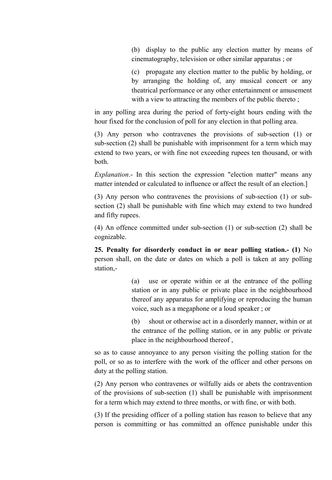(b) display to the public any election matter by means of cinematography, television or other similar apparatus ; or

(c) propagate any election matter to the public by holding, or by arranging the holding of, any musical concert or any theatrical performance or any other entertainment or amusement with a view to attracting the members of the public thereto;

in any polling area during the period of forty-eight hours ending with the hour fixed for the conclusion of poll for any election in that polling area.

(3) Any person who contravenes the provisions of sub-section (1) or sub-section (2) shall be punishable with imprisonment for a term which may extend to two years, or with fine not exceeding rupees ten thousand, or with both.

*Explanation*.- In this section the expression "election matter" means any matter intended or calculated to influence or affect the result of an election.]

(3) Any person who contravenes the provisions of sub-section (1) or subsection (2) shall be punishable with fine which may extend to two hundred and fifty rupees.

(4) An offence committed under sub-section (1) or sub-section (2) shall be cognizable.

25. Penalty for disorderly conduct in or near polling station.- (1) No person shall, on the date or dates on which a poll is taken at any polling station,-

> (a) use or operate within or at the entrance of the polling station or in any public or private place in the neighbourhood thereof any apparatus for amplifying or reproducing the human voice, such as a megaphone or a loud speaker ; or

> (b) shout or otherwise act in a disorderly manner, within or at the entrance of the polling station, or in any public or private place in the neighbourhood thereof ,

so as to cause annoyance to any person visiting the polling station for the poll, or so as to interfere with the work of the officer and other persons on duty at the polling station.

(2) Any person who contravenes or wilfully aids or abets the contravention of the provisions of sub-section (1) shall be punishable with imprisonment for a term which may extend to three months, or with fine, or with both.

(3) If the presiding officer of a polling station has reason to believe that any person is committing or has committed an offence punishable under this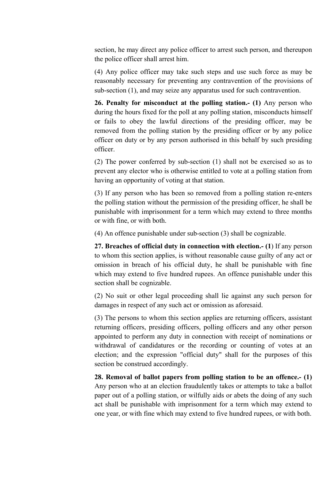section, he may direct any police officer to arrest such person, and thereupon the police officer shall arrest him.

(4) Any police officer may take such steps and use such force as may be reasonably necessary for preventing any contravention of the provisions of sub-section (1), and may seize any apparatus used for such contravention.

26. Penalty for misconduct at the polling station.- (1) Any person who during the hours fixed for the poll at any polling station, misconducts himself or fails to obey the lawful directions of the presiding officer, may be removed from the polling station by the presiding officer or by any police officer on duty or by any person authorised in this behalf by such presiding officer.

(2) The power conferred by sub-section (1) shall not be exercised so as to prevent any elector who is otherwise entitled to vote at a polling station from having an opportunity of voting at that station.

(3) If any person who has been so removed from a polling station re-enters the polling station without the permission of the presiding officer, he shall be punishable with imprisonment for a term which may extend to three months or with fine, or with both.

(4) An offence punishable under sub-section (3) shall be cognizable.

27. Breaches of official duty in connection with election.- (1) If any person to whom this section applies, is without reasonable cause guilty of any act or omission in breach of his official duty, he shall be punishable with fine which may extend to five hundred rupees. An offence punishable under this section shall be cognizable.

(2) No suit or other legal proceeding shall lie against any such person for damages in respect of any such act or omission as aforesaid.

(3) The persons to whom this section applies are returning officers, assistant returning officers, presiding officers, polling officers and any other person appointed to perform any duty in connection with receipt of nominations or withdrawal of candidatures or the recording or counting of votes at an election; and the expression "official duty" shall for the purposes of this section be construed accordingly.

28. Removal of ballot papers from polling station to be an offence.- (1) Any person who at an election fraudulently takes or attempts to take a ballot paper out of a polling station, or wilfully aids or abets the doing of any such act shall be punishable with imprisonment for a term which may extend to one year, or with fine which may extend to five hundred rupees, or with both.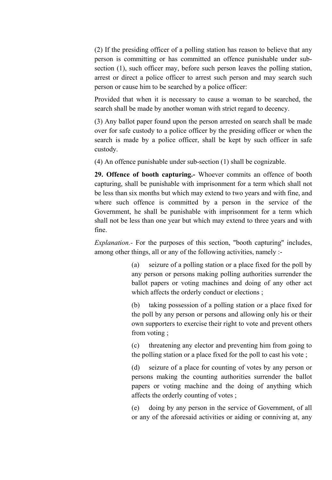(2) If the presiding officer of a polling station has reason to believe that any person is committing or has committed an offence punishable under subsection (1), such officer may, before such person leaves the polling station, arrest or direct a police officer to arrest such person and may search such person or cause him to be searched by a police officer:

Provided that when it is necessary to cause a woman to be searched, the search shall be made by another woman with strict regard to decency.

(3) Any ballot paper found upon the person arrested on search shall be made over for safe custody to a police officer by the presiding officer or when the search is made by a police officer, shall be kept by such officer in safe custody.

(4) An offence punishable under sub-section (1) shall be cognizable.

29. Offence of booth capturing.- Whoever commits an offence of booth capturing, shall be punishable with imprisonment for a term which shall not be less than six months but which may extend to two years and with fine, and where such offence is committed by a person in the service of the Government, he shall be punishable with imprisonment for a term which shall not be less than one year but which may extend to three years and with fine.

*Explanation.-* For the purposes of this section, "booth capturing" includes, among other things, all or any of the following activities, namely :-

> (a) seizure of a polling station or a place fixed for the poll by any person or persons making polling authorities surrender the ballot papers or voting machines and doing of any other act which affects the orderly conduct or elections;

> (b) taking possession of a polling station or a place fixed for the poll by any person or persons and allowing only his or their own supporters to exercise their right to vote and prevent others from voting ;

> (c) threatening any elector and preventing him from going to the polling station or a place fixed for the poll to cast his vote ;

> (d) seizure of a place for counting of votes by any person or persons making the counting authorities surrender the ballot papers or voting machine and the doing of anything which affects the orderly counting of votes ;

> (e) doing by any person in the service of Government, of all or any of the aforesaid activities or aiding or conniving at, any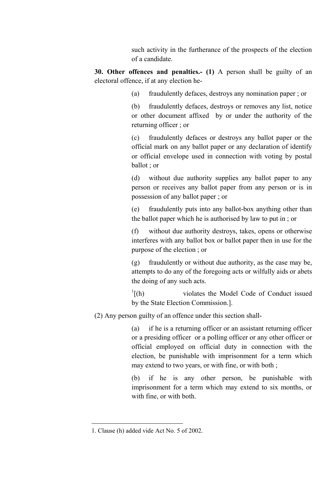such activity in the furtherance of the prospects of the election of a candidate.

30. Other offences and penalties.- (1) A person shall be guilty of an electoral offence, if at any election he-

(a) fraudulently defaces, destroys any nomination paper ; or

(b) fraudulently defaces, destroys or removes any list, notice or other document affixed by or under the authority of the returning officer ; or

(c) fraudulently defaces or destroys any ballot paper or the official mark on any ballot paper or any declaration of identify or official envelope used in connection with voting by postal ballot ; or

(d) without due authority supplies any ballot paper to any person or receives any ballot paper from any person or is in possession of any ballot paper ; or

(e) fraudulently puts into any ballot-box anything other than the ballot paper which he is authorised by law to put in ; or

(f) without due authority destroys, takes, opens or otherwise interferes with any ballot box or ballot paper then in use for the purpose of the election ; or

(g) fraudulently or without due authority, as the case may be, attempts to do any of the foregoing acts or wilfully aids or abets the doing of any such acts.

 $\ln$ <sup>1</sup> [(h) violates the Model Code of Conduct issued by the State Election Commission.].

(2) Any person guilty of an offence under this section shall-

(a) if he is a returning officer or an assistant returning officer or a presiding officer or a polling officer or any other officer or official employed on official duty in connection with the election, be punishable with imprisonment for a term which may extend to two years, or with fine, or with both ;

(b) if he is any other person, be punishable with imprisonment for a term which may extend to six months, or with fine, or with both.

<sup>1.</sup> Clause (h) added vide Act No. 5 of 2002.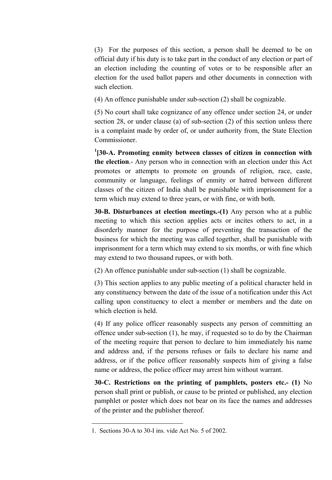(3) For the purposes of this section, a person shall be deemed to be on official duty if his duty is to take part in the conduct of any election or part of an election including the counting of votes or to be responsible after an election for the used ballot papers and other documents in connection with such election.

(4) An offence punishable under sub-section (2) shall be cognizable.

(5) No court shall take cognizance of any offence under section 24, or under section 28, or under clause (a) of sub-section (2) of this section unless there is a complaint made by order of, or under authority from, the State Election Commissioner.

<sup>1</sup>[30-A. Promoting enmity between classes of citizen in connection with the election.- Any person who in connection with an election under this Act promotes or attempts to promote on grounds of religion, race, caste, community or language, feelings of enmity or hatred between different classes of the citizen of India shall be punishable with imprisonment for a term which may extend to three years, or with fine, or with both.

30-B. Disturbances at election meetings.-(1) Any person who at a public meeting to which this section applies acts or incites others to act, in a disorderly manner for the purpose of preventing the transaction of the business for which the meeting was called together, shall be punishable with imprisonment for a term which may extend to six months, or with fine which may extend to two thousand rupees, or with both.

(2) An offence punishable under sub-section (1) shall be cognizable.

(3) This section applies to any public meeting of a political character held in any constituency between the date of the issue of a notification under this Act calling upon constituency to elect a member or members and the date on which election is held.

(4) If any police officer reasonably suspects any person of committing an offence under sub-section (1), he may, if requested so to do by the Chairman of the meeting require that person to declare to him immediately his name and address and, if the persons refuses or fails to declare his name and address, or if the police officer reasonably suspects him of giving a false name or address, the police officer may arrest him without warrant.

30-C. Restrictions on the printing of pamphlets, posters etc.- (1) No person shall print or publish, or cause to be printed or published, any election pamphlet or poster which does not bear on its face the names and addresses of the printer and the publisher thereof.

<sup>1.</sup> Sections 30-A to 30-I ins. vide Act No. 5 of 2002.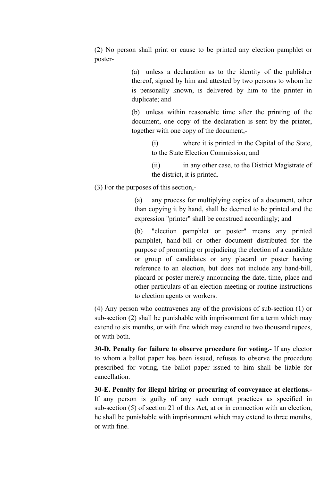(2) No person shall print or cause to be printed any election pamphlet or poster-

> (a) unless a declaration as to the identity of the publisher thereof, signed by him and attested by two persons to whom he is personally known, is delivered by him to the printer in duplicate; and

> (b) unless within reasonable time after the printing of the document, one copy of the declaration is sent by the printer, together with one copy of the document,-

> > (i) where it is printed in the Capital of the State, to the State Election Commission; and

> > (ii) in any other case, to the District Magistrate of the district, it is printed.

(3) For the purposes of this section,-

(a) any process for multiplying copies of a document, other than copying it by hand, shall be deemed to be printed and the expression "printer" shall be construed accordingly; and

(b) "election pamphlet or poster" means any printed pamphlet, hand-bill or other document distributed for the purpose of promoting or prejudicing the election of a candidate or group of candidates or any placard or poster having reference to an election, but does not include any hand-bill, placard or poster merely announcing the date, time, place and other particulars of an election meeting or routine instructions to election agents or workers.

(4) Any person who contravenes any of the provisions of sub-section (1) or sub-section (2) shall be punishable with imprisonment for a term which may extend to six months, or with fine which may extend to two thousand rupees, or with both.

30-D. Penalty for failure to observe procedure for voting.- If any elector to whom a ballot paper has been issued, refuses to observe the procedure prescribed for voting, the ballot paper issued to him shall be liable for cancellation.

30-E. Penalty for illegal hiring or procuring of conveyance at elections.- If any person is guilty of any such corrupt practices as specified in sub-section (5) of section 21 of this Act, at or in connection with an election, he shall be punishable with imprisonment which may extend to three months, or with fine.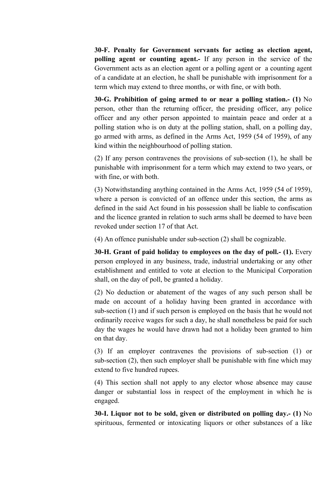30-F. Penalty for Government servants for acting as election agent, polling agent or counting agent.- If any person in the service of the Government acts as an election agent or a polling agent or a counting agent of a candidate at an election, he shall be punishable with imprisonment for a term which may extend to three months, or with fine, or with both.

30-G. Prohibition of going armed to or near a polling station.- (1) No person, other than the returning officer, the presiding officer, any police officer and any other person appointed to maintain peace and order at a polling station who is on duty at the polling station, shall, on a polling day, go armed with arms, as defined in the Arms Act, 1959 (54 of 1959), of any kind within the neighbourhood of polling station.

(2) If any person contravenes the provisions of sub-section (1), he shall be punishable with imprisonment for a term which may extend to two years, or with fine, or with both.

(3) Notwithstanding anything contained in the Arms Act, 1959 (54 of 1959), where a person is convicted of an offence under this section, the arms as defined in the said Act found in his possession shall be liable to confiscation and the licence granted in relation to such arms shall be deemed to have been revoked under section 17 of that Act.

(4) An offence punishable under sub-section (2) shall be cognizable.

30-H. Grant of paid holiday to employees on the day of poll.- (1). Every person employed in any business, trade, industrial undertaking or any other establishment and entitled to vote at election to the Municipal Corporation shall, on the day of poll, be granted a holiday.

(2) No deduction or abatement of the wages of any such person shall be made on account of a holiday having been granted in accordance with sub-section (1) and if such person is employed on the basis that he would not ordinarily receive wages for such a day, he shall nonetheless be paid for such day the wages he would have drawn had not a holiday been granted to him on that day.

(3) If an employer contravenes the provisions of sub-section (1) or sub-section (2), then such employer shall be punishable with fine which may extend to five hundred rupees.

(4) This section shall not apply to any elector whose absence may cause danger or substantial loss in respect of the employment in which he is engaged.

30-I. Liquor not to be sold, given or distributed on polling day.- (1) No spirituous, fermented or intoxicating liquors or other substances of a like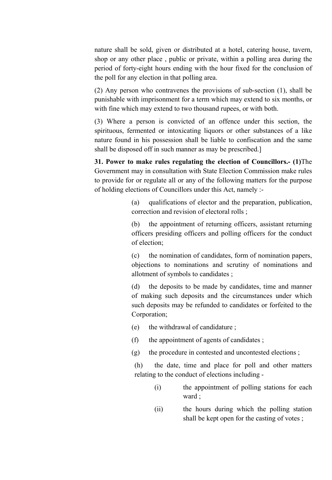nature shall be sold, given or distributed at a hotel, catering house, tavern, shop or any other place , public or private, within a polling area during the period of forty-eight hours ending with the hour fixed for the conclusion of the poll for any election in that polling area.

(2) Any person who contravenes the provisions of sub-section (1), shall be punishable with imprisonment for a term which may extend to six months, or with fine which may extend to two thousand rupees, or with both.

(3) Where a person is convicted of an offence under this section, the spirituous, fermented or intoxicating liquors or other substances of a like nature found in his possession shall be liable to confiscation and the same shall be disposed off in such manner as may be prescribed.]

31. Power to make rules regulating the election of Councillors.- (1)The Government may in consultation with State Election Commission make rules to provide for or regulate all or any of the following matters for the purpose of holding elections of Councillors under this Act, namely :-

> (a) qualifications of elector and the preparation, publication, correction and revision of electoral rolls ;

> (b) the appointment of returning officers, assistant returning officers presiding officers and polling officers for the conduct of election;

> (c) the nomination of candidates, form of nomination papers, objections to nominations and scrutiny of nominations and allotment of symbols to candidates ;

> (d) the deposits to be made by candidates, time and manner of making such deposits and the circumstances under which such deposits may be refunded to candidates or forfeited to the Corporation;

- (e) the withdrawal of candidature ;
- (f) the appointment of agents of candidates ;
- (g) the procedure in contested and uncontested elections ;

(h) the date, time and place for poll and other matters relating to the conduct of elections including -

- (i) the appointment of polling stations for each ward ;
- (ii) the hours during which the polling station shall be kept open for the casting of votes ;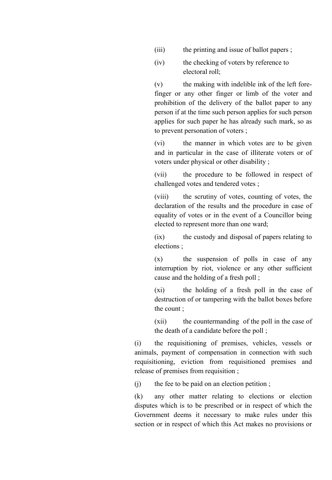- (iii) the printing and issue of ballot papers ;
- (iv) the checking of voters by reference to electoral roll;

(v) the making with indelible ink of the left forefinger or any other finger or limb of the voter and prohibition of the delivery of the ballot paper to any person if at the time such person applies for such person applies for such paper he has already such mark, so as to prevent personation of voters ;

(vi) the manner in which votes are to be given and in particular in the case of illiterate voters or of voters under physical or other disability ;

(vii) the procedure to be followed in respect of challenged votes and tendered votes ;

(viii) the scrutiny of votes, counting of votes, the declaration of the results and the procedure in case of equality of votes or in the event of a Councillor being elected to represent more than one ward;

(ix) the custody and disposal of papers relating to elections ;

(x) the suspension of polls in case of any interruption by riot, violence or any other sufficient cause and the holding of a fresh poll ;

(xi) the holding of a fresh poll in the case of destruction of or tampering with the ballot boxes before the count ;

(xii) the countermanding of the poll in the case of the death of a candidate before the poll ;

(i) the requisitioning of premises, vehicles, vessels or animals, payment of compensation in connection with such requisitioning, eviction from requisitioned premises and release of premises from requisition ;

(j) the fee to be paid on an election petition ;

(k) any other matter relating to elections or election disputes which is to be prescribed or in respect of which the Government deems it necessary to make rules under this section or in respect of which this Act makes no provisions or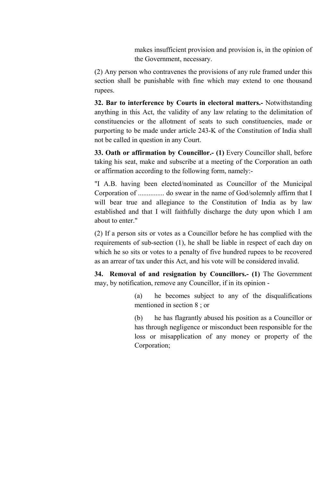makes insufficient provision and provision is, in the opinion of the Government, necessary.

(2) Any person who contravenes the provisions of any rule framed under this section shall be punishable with fine which may extend to one thousand rupees.

32. Bar to interference by Courts in electoral matters.- Notwithstanding anything in this Act, the validity of any law relating to the delimitation of constituencies or the allotment of seats to such constituencies, made or purporting to be made under article 243-K of the Constitution of India shall not be called in question in any Court.

33. Oath or affirmation by Councillor.- (1) Every Councillor shall, before taking his seat, make and subscribe at a meeting of the Corporation an oath or affirmation according to the following form, namely:-

"I A.B. having been elected/nominated as Councillor of the Municipal Corporation of ............... do swear in the name of God/solemnly affirm that I will bear true and allegiance to the Constitution of India as by law established and that I will faithfully discharge the duty upon which I am about to enter."

(2) If a person sits or votes as a Councillor before he has complied with the requirements of sub-section (1), he shall be liable in respect of each day on which he so sits or votes to a penalty of five hundred rupees to be recovered as an arrear of tax under this Act, and his vote will be considered invalid.

34. Removal of and resignation by Councillors.- (1) The Government may, by notification, remove any Councillor, if in its opinion -

> (a) he becomes subject to any of the disqualifications mentioned in section 8 ; or

> (b) he has flagrantly abused his position as a Councillor or has through negligence or misconduct been responsible for the loss or misapplication of any money or property of the Corporation;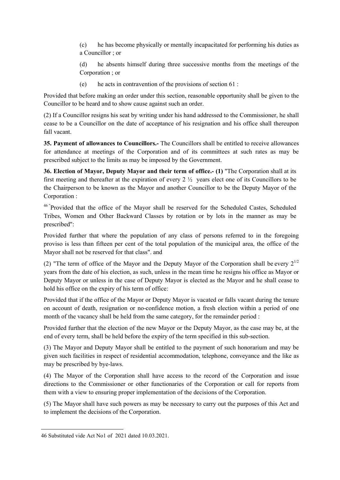(c) he has become physically or mentally incapacitated for performing his duties as a Councillor ; or

(d) he absents himself during three successive months from the meetings of the Corporation ; or

(e) he acts in contravention of the provisions of section 61 :

Provided that before making an order under this section, reasonable opportunity shall be given to the Councillor to be heard and to show cause against such an order.

(2) If a Councillor resigns his seat by writing under his hand addressed to the Commissioner, he shall cease to be a Councillor on the date of acceptance of his resignation and his office shall thereupon fall vacant.

35. Payment of allowances to Councillors.- The Councillors shall be entitled to receive allowances for attendance at meetings of the Corporation and of its committees at such rates as may be prescribed subject to the limits as may be imposed by the Government.

36. Election of Mayor, Deputy Mayor and their term of office.- (1) "The Corporation shall at its first meeting and thereafter at the expiration of every 2 ½ years elect one of its Councillors to be the Chairperson to be known as the Mayor and another Councillor to be the Deputy Mayor of the Corporation :

<sup>46</sup> "Provided that the office of the Mayor shall be reserved for the Scheduled Castes, Scheduled Tribes, Women and Other Backward Classes by rotation or by lots in the manner as may be prescribed":

Provided further that where the population of any class of persons referred to in the foregoing proviso is less than fifteen per cent of the total population of the municipal area, the office of the Mayor shall not be reserved for that class". and

(2) "The term of office of the Mayor and the Deputy Mayor of the Corporation shall be every  $2^{1/2}$ years from the date of his election, as such, unless in the mean time he resigns his office as Mayor or Deputy Mayor or unless in the case of Deputy Mayor is elected as the Mayor and he shall cease to hold his office on the expiry of his term of office:

Provided that if the office of the Mayor or Deputy Mayor is vacated or falls vacant during the tenure on account of death, resignation or no-confidence motion, a fresh election within a period of one month of the vacancy shall be held from the same category, for the remainder period :

Provided further that the election of the new Mayor or the Deputy Mayor, as the case may be, at the end of every term, shall be held before the expiry of the term specified in this sub-section.

(3) The Mayor and Deputy Mayor shall be entitled to the payment of such honorarium and may be given such facilities in respect of residential accommodation, telephone, conveyance and the like as may be prescribed by bye-laws.

(4) The Mayor of the Corporation shall have access to the record of the Corporation and issue directions to the Commissioner or other functionaries of the Corporation or call for reports from them with a view to ensuring proper implementation of the decisions of the Corporation.

(5) The Mayor shall have such powers as may be necessary to carry out the purposes of this Act and to implement the decisions of the Corporation.

<sup>46</sup> Substituted vide Act No1 of 2021 dated 10.03.2021.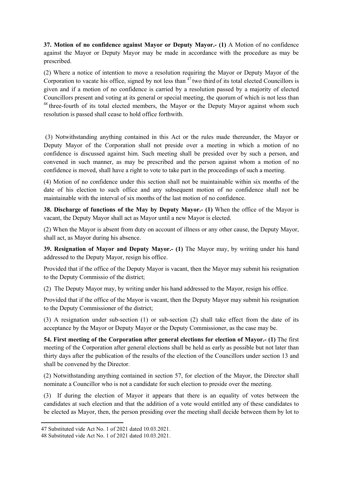37. Motion of no confidence against Mayor or Deputy Mayor.- (1) A Motion of no confidence against the Mayor or Deputy Mayor may be made in accordance with the procedure as may be prescribed.

(2) Where a notice of intention to move a resolution requiring the Mayor or Deputy Mayor of the Corporation to vacate his office, signed by not less than  $47$  two third of its total elected Councillors is given and if a motion of no confidence is carried by a resolution passed by a majority of elected Councillors present and voting at its general or special meeting, the quorum of which is not less than  $48$  three-fourth of its total elected members, the Mayor or the Deputy Mayor against whom such resolution is passed shall cease to hold office forthwith.

(3) Notwithstanding anything contained in this Act or the rules made thereunder, the Mayor or Deputy Mayor of the Corporation shall not preside over a meeting in which a motion of no confidence is discussed against him. Such meeting shall be presided over by such a person, and convened in such manner, as may be prescribed and the person against whom a motion of no confidence is moved, shall have a right to vote to take part in the proceedings of such a meeting.

(4) Motion of no confidence under this section shall not be maintainable within six months of the date of his election to such office and any subsequent motion of no confidence shall not be maintainable with the interval of six months of the last motion of no confidence.

38. Discharge of functions of the May by Deputy Mayor.- (1) When the office of the Mayor is vacant, the Deputy Mayor shall act as Mayor until a new Mayor is elected.

(2) When the Mayor is absent from duty on account of illness or any other cause, the Deputy Mayor, shall act, as Mayor during his absence.

39. Resignation of Mayor and Deputy Mayor.- (1) The Mayor may, by writing under his hand addressed to the Deputy Mayor, resign his office.

Provided that if the office of the Deputy Mayor is vacant, then the Mayor may submit his resignation to the Deputy Commissio of the district;

(2) The Deputy Mayor may, by writing under his hand addressed to the Mayor, resign his office.

Provided that if the office of the Mayor is vacant, then the Deputy Mayor may submit his resignation to the Deputy Commissioner of the district;

(3) A resignation under sub-section (1) or sub-section (2) shall take effect from the date of its acceptance by the Mayor or Deputy Mayor or the Deputy Commissioner, as the case may be.

54. First meeting of the Corporation after general elections for election of Mayor.- (1) The first meeting of the Corporation after general elections shall be held as early as possible but not later than thirty days after the publication of the results of the election of the Councillors under section 13 and shall be convened by the Director.

(2) Notwithstanding anything contained in section 57, for election of the Mayor, the Director shall nominate a Councillor who is not a candidate for such election to preside over the meeting.

(3) If during the election of Mayor it appears that there is an equality of votes between the candidates at such election and that the addition of a vote would entitled any of these candidates to be elected as Mayor, then, the person presiding over the meeting shall decide between them by lot to

**.** 

<sup>47</sup> Substituted vide Act No. 1 of 2021 dated 10.03.2021.

<sup>48</sup> Substituted vide Act No. 1 of 2021 dated 10.03.2021.